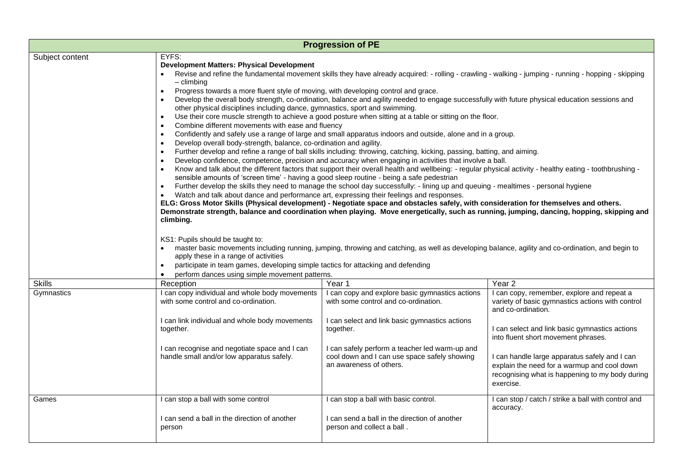| <b>Progression of PE</b> |                                                                                                                                                                                                                                                                                                                                                                                                                                                                                                                                                                                                                                                                                                                                                                                                                                                                                                                                                                                                                                                                                                                                                                                                                                                                                                                                                                                                                                                                                                                                                                                                                                                                                                                                                                                                                                                                                                                                                                                                                                                                                                                                                                                                                                                                                     |                                                                                                                           |                                                                                                                                                              |  |
|--------------------------|-------------------------------------------------------------------------------------------------------------------------------------------------------------------------------------------------------------------------------------------------------------------------------------------------------------------------------------------------------------------------------------------------------------------------------------------------------------------------------------------------------------------------------------------------------------------------------------------------------------------------------------------------------------------------------------------------------------------------------------------------------------------------------------------------------------------------------------------------------------------------------------------------------------------------------------------------------------------------------------------------------------------------------------------------------------------------------------------------------------------------------------------------------------------------------------------------------------------------------------------------------------------------------------------------------------------------------------------------------------------------------------------------------------------------------------------------------------------------------------------------------------------------------------------------------------------------------------------------------------------------------------------------------------------------------------------------------------------------------------------------------------------------------------------------------------------------------------------------------------------------------------------------------------------------------------------------------------------------------------------------------------------------------------------------------------------------------------------------------------------------------------------------------------------------------------------------------------------------------------------------------------------------------------|---------------------------------------------------------------------------------------------------------------------------|--------------------------------------------------------------------------------------------------------------------------------------------------------------|--|
| Subject content          | EYFS:<br><b>Development Matters: Physical Development</b><br>Revise and refine the fundamental movement skills they have already acquired: - rolling - crawling - walking - jumping - running - hopping - skipping<br>– climbing<br>Progress towards a more fluent style of moving, with developing control and grace.<br>$\bullet$<br>Develop the overall body strength, co-ordination, balance and agility needed to engage successfully with future physical education sessions and<br>other physical disciplines including dance, gymnastics, sport and swimming.<br>Use their core muscle strength to achieve a good posture when sitting at a table or sitting on the floor.<br>Combine different movements with ease and fluency<br>Confidently and safely use a range of large and small apparatus indoors and outside, alone and in a group.<br>Develop overall body-strength, balance, co-ordination and agility.<br>Further develop and refine a range of ball skills including: throwing, catching, kicking, passing, batting, and aiming.<br>Develop confidence, competence, precision and accuracy when engaging in activities that involve a ball.<br>Know and talk about the different factors that support their overall health and wellbeing: - regular physical activity - healthy eating - toothbrushing -<br>sensible amounts of 'screen time' - having a good sleep routine - being a safe pedestrian<br>Further develop the skills they need to manage the school day successfully: - lining up and queuing - mealtimes - personal hygiene<br>Watch and talk about dance and performance art, expressing their feelings and responses.<br>ELG: Gross Motor Skills (Physical development) - Negotiate space and obstacles safely, with consideration for themselves and others.<br>Demonstrate strength, balance and coordination when playing. Move energetically, such as running, jumping, dancing, hopping, skipping and<br>climbing.<br>KS1: Pupils should be taught to:<br>master basic movements including running, jumping, throwing and catching, as well as developing balance, agility and co-ordination, and begin to<br>apply these in a range of activities<br>participate in team games, developing simple tactics for attacking and defending |                                                                                                                           |                                                                                                                                                              |  |
| <b>Skills</b>            | perform dances using simple movement patterns.<br>Reception                                                                                                                                                                                                                                                                                                                                                                                                                                                                                                                                                                                                                                                                                                                                                                                                                                                                                                                                                                                                                                                                                                                                                                                                                                                                                                                                                                                                                                                                                                                                                                                                                                                                                                                                                                                                                                                                                                                                                                                                                                                                                                                                                                                                                         | Year 1                                                                                                                    | Year <sub>2</sub>                                                                                                                                            |  |
| Gymnastics               | I can copy individual and whole body movements<br>with some control and co-ordination.                                                                                                                                                                                                                                                                                                                                                                                                                                                                                                                                                                                                                                                                                                                                                                                                                                                                                                                                                                                                                                                                                                                                                                                                                                                                                                                                                                                                                                                                                                                                                                                                                                                                                                                                                                                                                                                                                                                                                                                                                                                                                                                                                                                              | I can copy and explore basic gymnastics actions<br>with some control and co-ordination.                                   | I can copy, remember, explore and repeat a<br>variety of basic gymnastics actions with control<br>and co-ordination.                                         |  |
|                          | I can link individual and whole body movements<br>together.                                                                                                                                                                                                                                                                                                                                                                                                                                                                                                                                                                                                                                                                                                                                                                                                                                                                                                                                                                                                                                                                                                                                                                                                                                                                                                                                                                                                                                                                                                                                                                                                                                                                                                                                                                                                                                                                                                                                                                                                                                                                                                                                                                                                                         | I can select and link basic gymnastics actions<br>together.                                                               | I can select and link basic gymnastics actions<br>into fluent short movement phrases.                                                                        |  |
|                          | I can recognise and negotiate space and I can<br>handle small and/or low apparatus safely.                                                                                                                                                                                                                                                                                                                                                                                                                                                                                                                                                                                                                                                                                                                                                                                                                                                                                                                                                                                                                                                                                                                                                                                                                                                                                                                                                                                                                                                                                                                                                                                                                                                                                                                                                                                                                                                                                                                                                                                                                                                                                                                                                                                          | I can safely perform a teacher led warm-up and<br>cool down and I can use space safely showing<br>an awareness of others. | I can handle large apparatus safely and I can<br>explain the need for a warmup and cool down<br>recognising what is happening to my body during<br>exercise. |  |
| Games                    | I can stop a ball with some control<br>I can send a ball in the direction of another<br>person                                                                                                                                                                                                                                                                                                                                                                                                                                                                                                                                                                                                                                                                                                                                                                                                                                                                                                                                                                                                                                                                                                                                                                                                                                                                                                                                                                                                                                                                                                                                                                                                                                                                                                                                                                                                                                                                                                                                                                                                                                                                                                                                                                                      | I can stop a ball with basic control.<br>I can send a ball in the direction of another<br>person and collect a ball.      | I can stop / catch / strike a ball with control and<br>accuracy.                                                                                             |  |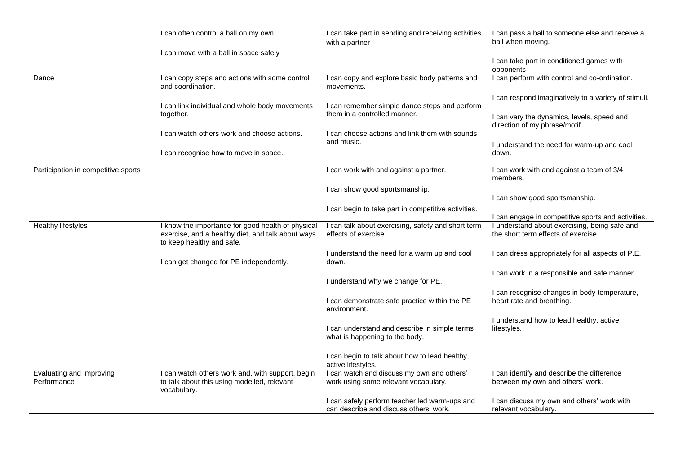|                                         | I can often control a ball on my own.                                                                                               | I can take part in sending and receiving activities<br>with a partner                   | I can pass a ball to someone else and receive a<br>ball when moving.                |
|-----------------------------------------|-------------------------------------------------------------------------------------------------------------------------------------|-----------------------------------------------------------------------------------------|-------------------------------------------------------------------------------------|
|                                         | I can move with a ball in space safely                                                                                              |                                                                                         | I can take part in conditioned games with                                           |
| Dance                                   | I can copy steps and actions with some control<br>and coordination.                                                                 | I can copy and explore basic body patterns and<br>movements.                            | opponents<br>I can perform with control and co-ordination.                          |
|                                         | I can link individual and whole body movements                                                                                      | I can remember simple dance steps and perform                                           | I can respond imaginatively to a variety of stimuli.                                |
|                                         | together.<br>I can watch others work and choose actions.                                                                            | them in a controlled manner.<br>I can choose actions and link them with sounds          | I can vary the dynamics, levels, speed and<br>direction of my phrase/motif.         |
|                                         | I can recognise how to move in space.                                                                                               | and music.                                                                              | I understand the need for warm-up and cool<br>down.                                 |
|                                         |                                                                                                                                     |                                                                                         |                                                                                     |
| Participation in competitive sports     |                                                                                                                                     | I can work with and against a partner.                                                  | I can work with and against a team of 3/4<br>members.                               |
|                                         |                                                                                                                                     | I can show good sportsmanship.                                                          | I can show good sportsmanship.                                                      |
|                                         |                                                                                                                                     | I can begin to take part in competitive activities.                                     | I can engage in competitive sports and activities.                                  |
| Healthy lifestyles                      | I know the importance for good health of physical<br>exercise, and a healthy diet, and talk about ways<br>to keep healthy and safe. | can talk about exercising, safety and short term<br>effects of exercise                 | I understand about exercising, being safe and<br>the short term effects of exercise |
|                                         | I can get changed for PE independently.                                                                                             | I understand the need for a warm up and cool<br>down.                                   | I can dress appropriately for all aspects of P.E.                                   |
|                                         |                                                                                                                                     | I understand why we change for PE.                                                      | I can work in a responsible and safe manner.                                        |
|                                         |                                                                                                                                     | I can demonstrate safe practice within the PE<br>environment.                           | I can recognise changes in body temperature,<br>heart rate and breathing.           |
|                                         |                                                                                                                                     | I can understand and describe in simple terms<br>what is happening to the body.         | I understand how to lead healthy, active<br>lifestyles.                             |
|                                         |                                                                                                                                     | I can begin to talk about how to lead healthy,<br>active lifestyles.                    |                                                                                     |
| Evaluating and Improving<br>Performance | I can watch others work and, with support, begin<br>to talk about this using modelled, relevant<br>vocabulary.                      | I can watch and discuss my own and others'<br>work using some relevant vocabulary.      | I can identify and describe the difference<br>between my own and others' work.      |
|                                         |                                                                                                                                     | I can safely perform teacher led warm-ups and<br>can describe and discuss others' work. | I can discuss my own and others' work with<br>relevant vocabulary.                  |